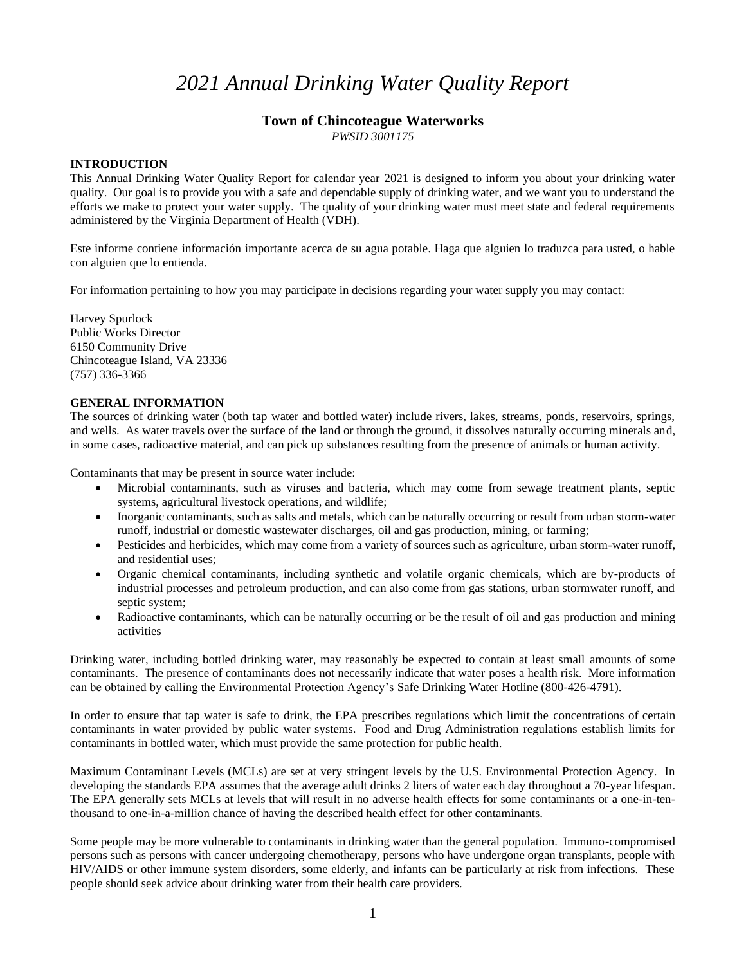# *2021 Annual Drinking Water Quality Report*

## **Town of Chincoteague Waterworks**

*PWSID 3001175*

## **INTRODUCTION**

This Annual Drinking Water Quality Report for calendar year 2021 is designed to inform you about your drinking water quality. Our goal is to provide you with a safe and dependable supply of drinking water, and we want you to understand the efforts we make to protect your water supply. The quality of your drinking water must meet state and federal requirements administered by the Virginia Department of Health (VDH).

Este informe contiene información importante acerca de su agua potable. Haga que alguien lo traduzca para usted, o hable con alguien que lo entienda.

For information pertaining to how you may participate in decisions regarding your water supply you may contact:

Harvey Spurlock Public Works Director 6150 Community Drive Chincoteague Island, VA 23336 (757) 336-3366

## **GENERAL INFORMATION**

The sources of drinking water (both tap water and bottled water) include rivers, lakes, streams, ponds, reservoirs, springs, and wells. As water travels over the surface of the land or through the ground, it dissolves naturally occurring minerals and, in some cases, radioactive material, and can pick up substances resulting from the presence of animals or human activity.

Contaminants that may be present in source water include:

- Microbial contaminants, such as viruses and bacteria, which may come from sewage treatment plants, septic systems, agricultural livestock operations, and wildlife;
- Inorganic contaminants, such as salts and metals, which can be naturally occurring or result from urban storm-water runoff, industrial or domestic wastewater discharges, oil and gas production, mining, or farming;
- Pesticides and herbicides, which may come from a variety of sources such as agriculture, urban storm-water runoff, and residential uses;
- Organic chemical contaminants, including synthetic and volatile organic chemicals, which are by-products of industrial processes and petroleum production, and can also come from gas stations, urban stormwater runoff, and septic system;
- Radioactive contaminants, which can be naturally occurring or be the result of oil and gas production and mining activities

Drinking water, including bottled drinking water, may reasonably be expected to contain at least small amounts of some contaminants. The presence of contaminants does not necessarily indicate that water poses a health risk. More information can be obtained by calling the Environmental Protection Agency's Safe Drinking Water Hotline (800-426-4791).

In order to ensure that tap water is safe to drink, the EPA prescribes regulations which limit the concentrations of certain contaminants in water provided by public water systems. Food and Drug Administration regulations establish limits for contaminants in bottled water, which must provide the same protection for public health.

Maximum Contaminant Levels (MCLs) are set at very stringent levels by the U.S. Environmental Protection Agency. In developing the standards EPA assumes that the average adult drinks 2 liters of water each day throughout a 70-year lifespan. The EPA generally sets MCLs at levels that will result in no adverse health effects for some contaminants or a one-in-tenthousand to one-in-a-million chance of having the described health effect for other contaminants.

Some people may be more vulnerable to contaminants in drinking water than the general population. Immuno-compromised persons such as persons with cancer undergoing chemotherapy, persons who have undergone organ transplants, people with HIV/AIDS or other immune system disorders, some elderly, and infants can be particularly at risk from infections. These people should seek advice about drinking water from their health care providers.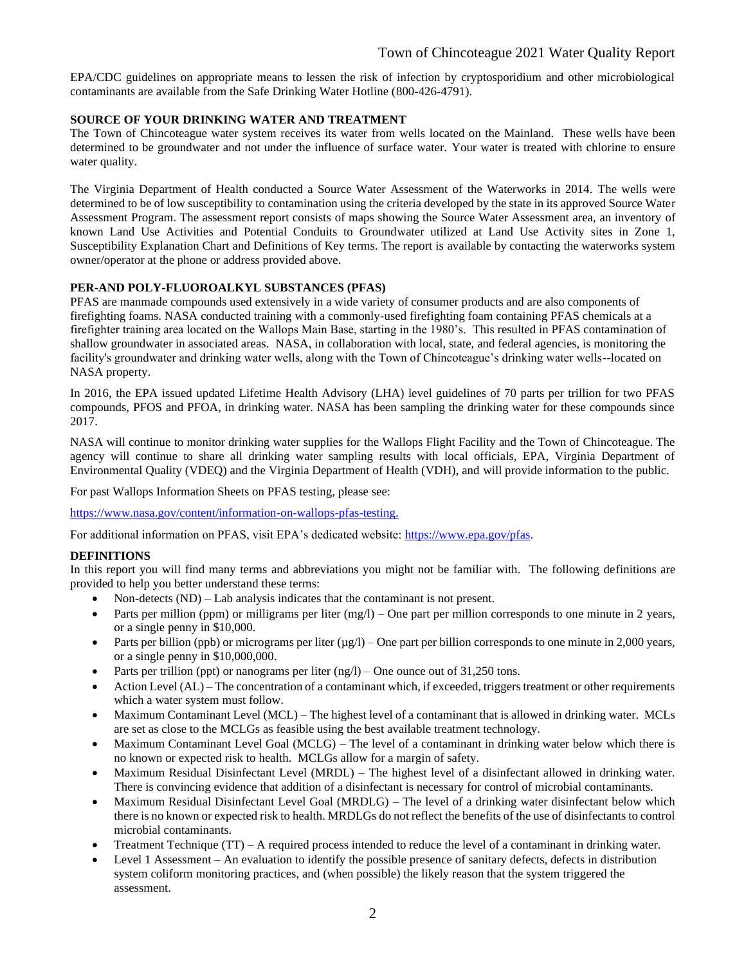EPA/CDC guidelines on appropriate means to lessen the risk of infection by cryptosporidium and other microbiological contaminants are available from the Safe Drinking Water Hotline (800-426-4791).

## **SOURCE OF YOUR DRINKING WATER AND TREATMENT**

The Town of Chincoteague water system receives its water from wells located on the Mainland. These wells have been determined to be groundwater and not under the influence of surface water. Your water is treated with chlorine to ensure water quality.

The Virginia Department of Health conducted a Source Water Assessment of the Waterworks in 2014. The wells were determined to be of low susceptibility to contamination using the criteria developed by the state in its approved Source Water Assessment Program. The assessment report consists of maps showing the Source Water Assessment area, an inventory of known Land Use Activities and Potential Conduits to Groundwater utilized at Land Use Activity sites in Zone 1, Susceptibility Explanation Chart and Definitions of Key terms. The report is available by contacting the waterworks system owner/operator at the phone or address provided above.

## **PER-AND POLY-FLUOROALKYL SUBSTANCES (PFAS)**

PFAS are manmade compounds used extensively in a wide variety of consumer products and are also components of firefighting foams. NASA conducted training with a commonly-used firefighting foam containing PFAS chemicals at a firefighter training area located on the Wallops Main Base, starting in the 1980's. This resulted in PFAS contamination of shallow groundwater in associated areas. NASA, in collaboration with local, state, and federal agencies, is monitoring the facility's groundwater and drinking water wells, along with the Town of Chincoteague's drinking water wells--located on NASA property.

In 2016, the EPA issued updated Lifetime Health Advisory (LHA) level guidelines of 70 parts per trillion for two PFAS compounds, PFOS and PFOA, in drinking water. NASA has been sampling the drinking water for these compounds since 2017.

NASA will continue to monitor drinking water supplies for the Wallops Flight Facility and the Town of Chincoteague. The agency will continue to share all drinking water sampling results with local officials, EPA, Virginia Department of Environmental Quality (VDEQ) and the Virginia Department of Health (VDH), and will provide information to the public.

For past Wallops Information Sheets on PFAS testing, please see:

[https://www.nasa.gov/content/information-on-wallops-pfas-testing.](https://www.nasa.gov/content/information-on-wallops-pfas-testing)

For additional information on PFAS, visit EPA's dedicated website: [https://www.epa.gov/pfas.](https://www.epa.gov/pfas)

## **DEFINITIONS**

In this report you will find many terms and abbreviations you might not be familiar with. The following definitions are provided to help you better understand these terms:

- Non-detects  $(ND)$  Lab analysis indicates that the contaminant is not present.
- Parts per million (ppm) or milligrams per liter (mg/l) One part per million corresponds to one minute in 2 years, or a single penny in \$10,000.
- Parts per billion (ppb) or micrograms per liter  $(\mu g/l)$  One part per billion corresponds to one minute in 2,000 years, or a single penny in \$10,000,000.
- Parts per trillion (ppt) or nanograms per liter  $(ng/l)$  One ounce out of 31,250 tons.
- Action Level (AL) The concentration of a contaminant which, if exceeded, triggers treatment or other requirements which a water system must follow.
- Maximum Contaminant Level (MCL) The highest level of a contaminant that is allowed in drinking water. MCLs are set as close to the MCLGs as feasible using the best available treatment technology.
- Maximum Contaminant Level Goal (MCLG) The level of a contaminant in drinking water below which there is no known or expected risk to health. MCLGs allow for a margin of safety.
- Maximum Residual Disinfectant Level (MRDL) The highest level of a disinfectant allowed in drinking water. There is convincing evidence that addition of a disinfectant is necessary for control of microbial contaminants.
- Maximum Residual Disinfectant Level Goal (MRDLG) The level of a drinking water disinfectant below which there is no known or expected risk to health. MRDLGs do not reflect the benefits of the use of disinfectants to control microbial contaminants.
- Treatment Technique (TT) A required process intended to reduce the level of a contaminant in drinking water.
- Level 1 Assessment An evaluation to identify the possible presence of sanitary defects, defects in distribution system coliform monitoring practices, and (when possible) the likely reason that the system triggered the assessment.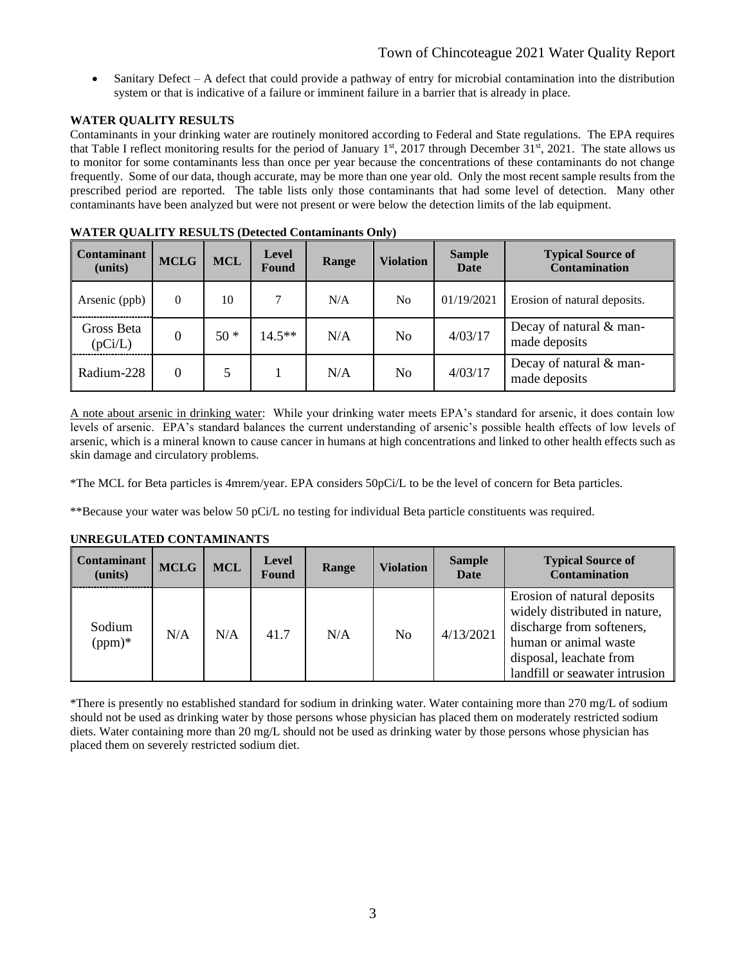• Sanitary Defect – A defect that could provide a pathway of entry for microbial contamination into the distribution system or that is indicative of a failure or imminent failure in a barrier that is already in place.

# **WATER QUALITY RESULTS**

Contaminants in your drinking water are routinely monitored according to Federal and State regulations. The EPA requires that Table I reflect monitoring results for the period of January  $1<sup>st</sup>$ , 2017 through December 31 $<sup>st</sup>$ , 2021. The state allows us</sup> to monitor for some contaminants less than once per year because the concentrations of these contaminants do not change frequently. Some of our data, though accurate, may be more than one year old. Only the most recent sample results from the prescribed period are reported. The table lists only those contaminants that had some level of detection. Many other contaminants have been analyzed but were not present or were below the detection limits of the lab equipment.

| <b>Contaminant</b><br>(units) | <b>MCLG</b> | <b>MCL</b> | <b>Level</b><br>Found | Range | <b>Violation</b> | <b>Sample</b><br><b>Date</b> | <b>Typical Source of</b><br><b>Contamination</b> |
|-------------------------------|-------------|------------|-----------------------|-------|------------------|------------------------------|--------------------------------------------------|
| Arsenic (ppb)                 | 0           | 10         |                       | N/A   | No               | 01/19/2021                   | Erosion of natural deposits.                     |
| Gross Beta<br>(pCi/L)         | $\Omega$    | $50*$      | $14.5***$             | N/A   | No               | 4/03/17                      | Decay of natural & man-<br>made deposits         |
| Radium-228                    | $\Omega$    | 5          |                       | N/A   | No               | 4/03/17                      | Decay of natural & man-<br>made deposits         |

## **WATER QUALITY RESULTS (Detected Contaminants Only)**

A note about arsenic in drinking water: While your drinking water meets EPA's standard for arsenic, it does contain low levels of arsenic. EPA's standard balances the current understanding of arsenic's possible health effects of low levels of arsenic, which is a mineral known to cause cancer in humans at high concentrations and linked to other health effects such as skin damage and circulatory problems.

\*The MCL for Beta particles is 4mrem/year. EPA considers 50pCi/L to be the level of concern for Beta particles.

\*\*Because your water was below 50 pCi/L no testing for individual Beta particle constituents was required.

| <b>Contaminant</b><br>(units) | <b>MCLG</b> | <b>MCL</b> | <b>Level</b><br>Found | Range | <b>Violation</b> | <b>Sample</b><br><b>Date</b> | <b>Typical Source of</b><br><b>Contamination</b>                                                                                                                                |
|-------------------------------|-------------|------------|-----------------------|-------|------------------|------------------------------|---------------------------------------------------------------------------------------------------------------------------------------------------------------------------------|
| Sodium<br>$(ppm)*$            | N/A         | N/A        | 41.7                  | N/A   | N <sub>0</sub>   | 4/13/2021                    | Erosion of natural deposits<br>widely distributed in nature,<br>discharge from softeners,<br>human or animal waste<br>disposal, leachate from<br>landfill or seawater intrusion |

# **UNREGULATED CONTAMINANTS**

\*There is presently no established standard for sodium in drinking water. Water containing more than 270 mg/L of sodium should not be used as drinking water by those persons whose physician has placed them on moderately restricted sodium diets. Water containing more than 20 mg/L should not be used as drinking water by those persons whose physician has placed them on severely restricted sodium diet.